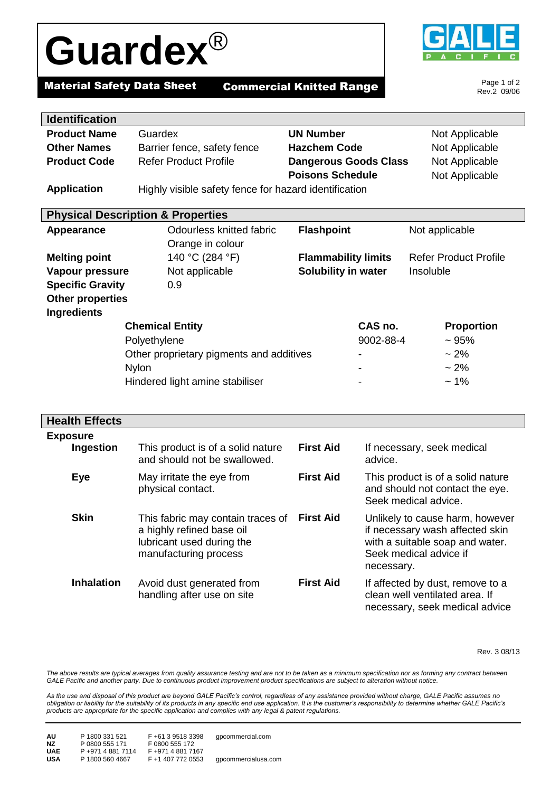# **Guardex**®



Page 1 of 2 Rev.2 09/06

## **Material Safety Data Sheet Commercial Knitted Range**

| <b>Identification</b>                    |                                                       |                              |                              |
|------------------------------------------|-------------------------------------------------------|------------------------------|------------------------------|
| <b>Product Name</b>                      | Guardex                                               | <b>UN Number</b>             | Not Applicable               |
| <b>Other Names</b>                       | Barrier fence, safety fence                           | <b>Hazchem Code</b>          | Not Applicable               |
| <b>Product Code</b>                      | <b>Refer Product Profile</b>                          | <b>Dangerous Goods Class</b> | Not Applicable               |
|                                          |                                                       | <b>Poisons Schedule</b>      | Not Applicable               |
| <b>Application</b>                       | Highly visible safety fence for hazard identification |                              |                              |
|                                          |                                                       |                              |                              |
|                                          | <b>Physical Description &amp; Properties</b>          |                              |                              |
| <b>Appearance</b>                        | Odourless knitted fabric                              | <b>Flashpoint</b>            | Not applicable               |
|                                          | Orange in colour                                      |                              |                              |
| <b>Melting point</b>                     | 140 °C (284 °F)                                       | <b>Flammability limits</b>   | <b>Refer Product Profile</b> |
| Vapour pressure                          | Not applicable                                        | Solubility in water          | Insoluble                    |
| <b>Specific Gravity</b>                  | 0.9                                                   |                              |                              |
| <b>Other properties</b>                  |                                                       |                              |                              |
| <b>Ingredients</b>                       |                                                       |                              |                              |
| <b>Chemical Entity</b>                   |                                                       | CAS no.                      | <b>Proportion</b>            |
| Polyethylene                             |                                                       | 9002-88-4                    | ~1.95%                       |
| Other proprietary pigments and additives |                                                       |                              | $~2\%$                       |
| <b>Nylon</b>                             |                                                       |                              | $~2\%$                       |
| Hindered light amine stabiliser          |                                                       |                              | $~1\%$                       |
|                                          |                                                       |                              |                              |
|                                          |                                                       |                              |                              |
| Uaalth Effaata                           |                                                       |                              |                              |

| <b>Health Effects</b>        |                                                                                                                      |                  |                                                                                                                                               |
|------------------------------|----------------------------------------------------------------------------------------------------------------------|------------------|-----------------------------------------------------------------------------------------------------------------------------------------------|
| <b>Exposure</b><br>Ingestion | This product is of a solid nature<br>and should not be swallowed.                                                    | <b>First Aid</b> | If necessary, seek medical<br>advice.                                                                                                         |
| Eye                          | May irritate the eye from<br>physical contact.                                                                       | <b>First Aid</b> | This product is of a solid nature<br>and should not contact the eye.<br>Seek medical advice.                                                  |
| <b>Skin</b>                  | This fabric may contain traces of<br>a highly refined base oil<br>lubricant used during the<br>manufacturing process | <b>First Aid</b> | Unlikely to cause harm, however<br>if necessary wash affected skin<br>with a suitable soap and water.<br>Seek medical advice if<br>necessary. |
| <b>Inhalation</b>            | Avoid dust generated from<br>handling after use on site                                                              | <b>First Aid</b> | If affected by dust, remove to a<br>clean well ventilated area. If<br>necessary, seek medical advice                                          |

Rev. 3 08/13

The above results are typical averages from quality assurance testing and are not to be taken as a minimum specification nor as forming any contract between *GALE Pacific and another party. Due to continuous product improvement product specifications are subject to alteration without notice.*

*As the use and disposal of this product are beyond GALE Pacific's control, regardless of any assistance provided without charge, GALE Pacific assumes no obligation or liability for the suitability of its products in any specific end use application. It is the customer's responsibility to determine whether GALE Pacific's products are appropriate for the specific application and complies with any legal & patent regulations.*